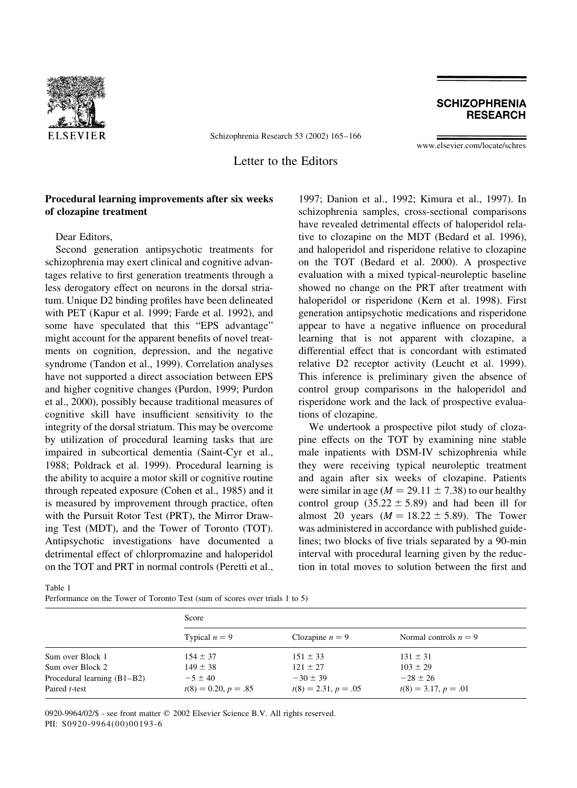

Schizophrenia Research 53 (2002) 165-166

www.elsevier.com/locate/schres

**SCHIZOPHRENIA RESEARCH** 

Letter to the Editors

## Procedural learning improvements after six weeks of clozapine treatment

Dear Editors.

Second generation antipsychotic treatments for schizophrenia may exert clinical and cognitive advantages relative to first generation treatments through a less derogatory effect on neurons in the dorsal striatum. Unique D2 binding profiles have been delineated with PET (Kapur et al. 1999; Farde et al. 1992), and some have speculated that this "EPS advantage" might account for the apparent benefits of novel treatments on cognition, depression, and the negative syndrome (Tandon et al., 1999). Correlation analyses have not supported a direct association between EPS and higher cognitive changes (Purdon, 1999; Purdon et al., 2000), possibly because traditional measures of cognitive skill have insufficient sensitivity to the integrity of the dorsal striatum. This may be overcome by utilization of procedural learning tasks that are impaired in subcortical dementia (Saint-Cyr et al., 1988; Poldrack et al. 1999). Procedural learning is the ability to acquire a motor skill or cognitive routine through repeated exposure (Cohen et al., 1985) and it is measured by improvement through practice, often with the Pursuit Rotor Test (PRT), the Mirror Drawing Test (MDT), and the Tower of Toronto (TOT). Antipsychotic investigations have documented a detrimental effect of chlorpromazine and haloperidol on the TOT and PRT in normal controls (Peretti et al.,

1997; Danion et al., 1992; Kimura et al., 1997). In schizophrenia samples, cross-sectional comparisons have revealed detrimental effects of haloperidol relative to clozapine on the MDT (Bedard et al. 1996), and haloperidol and risperidone relative to clozapine on the TOT (Bedard et al. 2000). A prospective evaluation with a mixed typical-neuroleptic baseline showed no change on the PRT after treatment with haloperidol or risperidone (Kern et al. 1998). First generation antipsychotic medications and risperidone appear to have a negative influence on procedural learning that is not apparent with clozapine, a differential effect that is concordant with estimated relative D2 receptor activity (Leucht et al. 1999). This inference is preliminary given the absence of control group comparisons in the haloperidol and risperidone work and the lack of prospective evaluations of clozapine.

We undertook a prospective pilot study of clozapine effects on the TOT by examining nine stable male inpatients with DSM-IV schizophrenia while they were receiving typical neuroleptic treatment and again after six weeks of clozapine. Patients were similar in age ( $M = 29.11 \pm 7.38$ ) to our healthy control group  $(35.22 \pm 5.89)$  and had been ill for almost 20 years  $(M = 18.22 \pm 5.89)$ . The Tower was administered in accordance with published guidelines; two blocks of five trials separated by a 90-min interval with procedural learning given by the reduction in total moves to solution between the first and

Table 1

| Performance on the Tower of Toronto Test (sum of scores over trials 1 to 5) |  |  |  |  |  |  |  |
|-----------------------------------------------------------------------------|--|--|--|--|--|--|--|
|                                                                             |  |  |  |  |  |  |  |

|                               | Score                  |                        |                         |  |  |  |  |  |
|-------------------------------|------------------------|------------------------|-------------------------|--|--|--|--|--|
|                               | Typical $n = 9$        | Clozapine $n = 9$      | Normal controls $n = 9$ |  |  |  |  |  |
| Sum over Block 1              | $154 \pm 37$           | $151 \pm 33$           | $131 \pm 31$            |  |  |  |  |  |
| Sum over Block 2              | $149 \pm 38$           | $121 \pm 27$           | $103 \pm 29$            |  |  |  |  |  |
| Procedural learning $(B1-B2)$ | $-5 \pm 40$            | $-30 \pm 39$           | $-28 \pm 26$            |  |  |  |  |  |
| Paired <i>t</i> -test         | $t(8) = 0.20, p = .85$ | $t(8) = 2.31, p = .05$ | $t(8) = 3.17, p = .01$  |  |  |  |  |  |

0920-9964/02/\$ - see front matter © 2002 Elsevier Science B.V. All rights reserved. PII: S0920-9964(00)00193-6